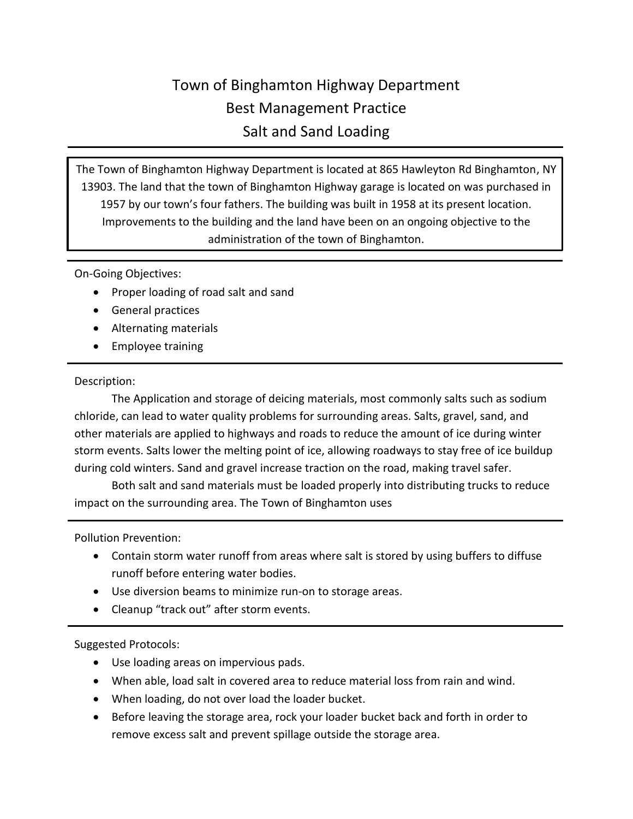## Town of Binghamton Highway Department Best Management Practice Salt and Sand Loading

The Town of Binghamton Highway Department is located at 865 Hawleyton Rd Binghamton, NY 13903. The land that the town of Binghamton Highway garage is located on was purchased in 1957 by our town's four fathers. The building was built in 1958 at its present location. Improvements to the building and the land have been on an ongoing objective to the administration of the town of Binghamton.

On-Going Objectives:

- Proper loading of road salt and sand
- General practices
- Alternating materials
- Employee training

## Description:

The Application and storage of deicing materials, most commonly salts such as sodium chloride, can lead to water quality problems for surrounding areas. Salts, gravel, sand, and other materials are applied to highways and roads to reduce the amount of ice during winter storm events. Salts lower the melting point of ice, allowing roadways to stay free of ice buildup during cold winters. Sand and gravel increase traction on the road, making travel safer.

Both salt and sand materials must be loaded properly into distributing trucks to reduce impact on the surrounding area. The Town of Binghamton uses

Pollution Prevention:

- Contain storm water runoff from areas where salt is stored by using buffers to diffuse runoff before entering water bodies.
- Use diversion beams to minimize run-on to storage areas.
- Cleanup "track out" after storm events.

## Suggested Protocols:

- Use loading areas on impervious pads.
- When able, load salt in covered area to reduce material loss from rain and wind.
- When loading, do not over load the loader bucket.
- Before leaving the storage area, rock your loader bucket back and forth in order to remove excess salt and prevent spillage outside the storage area.